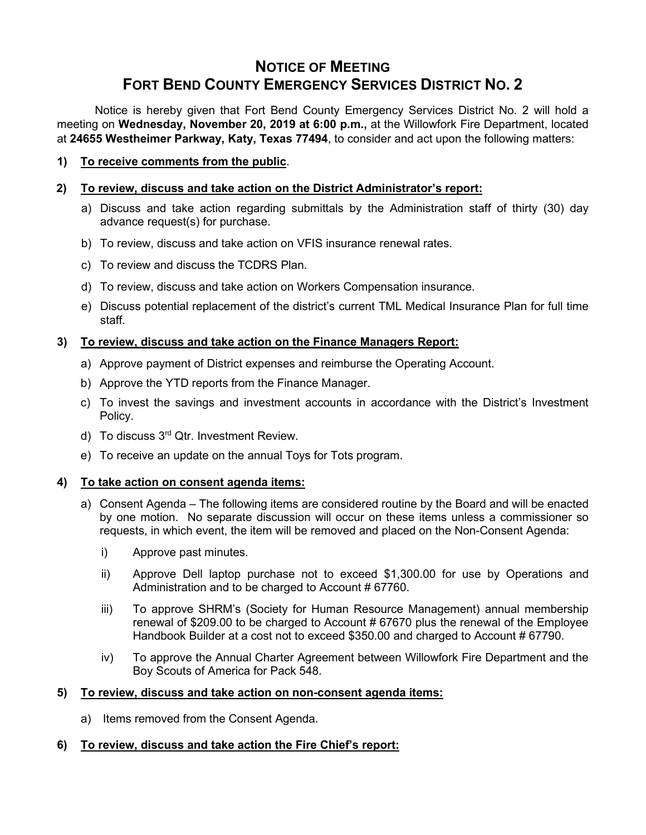# **NOTICE OF MEETING FORT BEND COUNTY EMERGENCY SERVICES DISTRICT NO. 2**

Notice is hereby given that Fort Bend County Emergency Services District No. 2 will hold a meeting on **Wednesday, November 20, 2019 at 6:00 p.m.,** at the Willowfork Fire Department, located at **24655 Westheimer Parkway, Katy, Texas 77494**, to consider and act upon the following matters:

**1) To receive comments from the public**.

### **2) To review, discuss and take action on the District Administrator's report:**

- a) Discuss and take action regarding submittals by the Administration staff of thirty (30) day advance request(s) for purchase.
- b) To review, discuss and take action on VFIS insurance renewal rates.
- c) To review and discuss the TCDRS Plan.
- d) To review, discuss and take action on Workers Compensation insurance.
- e) Discuss potential replacement of the district's current TML Medical Insurance Plan for full time staff.

#### **3) To review, discuss and take action on the Finance Managers Report:**

- a) Approve payment of District expenses and reimburse the Operating Account.
- b) Approve the YTD reports from the Finance Manager.
- c) To invest the savings and investment accounts in accordance with the District's Investment Policy.
- d) To discuss 3<sup>rd</sup> Qtr. Investment Review.
- e) To receive an update on the annual Toys for Tots program.

#### **4) To take action on consent agenda items:**

- a) Consent Agenda The following items are considered routine by the Board and will be enacted by one motion. No separate discussion will occur on these items unless a commissioner so requests, in which event, the item will be removed and placed on the Non-Consent Agenda:
	- i) Approve past minutes.
	- ii) Approve Dell laptop purchase not to exceed \$1,300.00 for use by Operations and Administration and to be charged to Account # 67760.
	- iii) To approve SHRM's (Society for Human Resource Management) annual membership renewal of \$209.00 to be charged to Account # 67670 plus the renewal of the Employee Handbook Builder at a cost not to exceed \$350.00 and charged to Account # 67790.
	- iv) To approve the Annual Charter Agreement between Willowfork Fire Department and the Boy Scouts of America for Pack 548.

## **5) To review, discuss and take action on non-consent agenda items:**

a) Items removed from the Consent Agenda.

### **6) To review, discuss and take action the Fire Chief's report:**